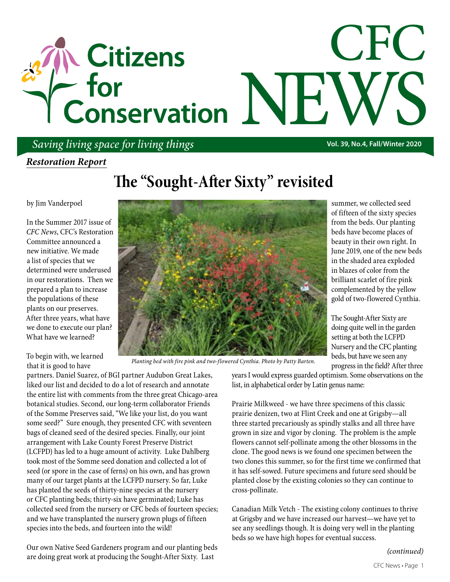# CFC The Citizens<br>
The Form The NEWS<br>
The Conservation NEWS

## *Saving living space for living things* **Vol. 39, No.4, Fall/Winter 2020**

## *Restoration Report*

# **The "Sought-After Sixty" revisited**

by Jim Vanderpoel

In the Summer 2017 issue of *CFC News*, CFC's Restoration Committee announced a new initiative. We made a list of species that we determined were underused in our restorations. Then we prepared a plan to increase the populations of these plants on our preserves. After three years, what have we done to execute our plan? What have we learned?

To begin with, we learned that it is good to have

partners. Daniel Suarez, of BGI partner Audubon Great Lakes, liked our list and decided to do a lot of research and annotate the entire list with comments from the three great Chicago-area botanical studies. Second, our long-term collaborator Friends of the Somme Preserves said, "We like your list, do you want some seed?" Sure enough, they presented CFC with seventeen bags of cleaned seed of the desired species. Finally, our joint arrangement with Lake County Forest Preserve District (LCFPD) has led to a huge amount of activity. Luke Dahlberg took most of the Somme seed donation and collected a lot of seed (or spore in the case of ferns) on his own, and has grown many of our target plants at the LCFPD nursery. So far, Luke has planted the seeds of thirty-nine species at the nursery or CFC planting beds; thirty-six have germinated; Luke has collected seed from the nursery or CFC beds of fourteen species; and we have transplanted the nursery grown plugs of fifteen species into the beds, and fourteen into the wild!

Our own Native Seed Gardeners program and our planting beds are doing great work at producing the Sought-After Sixty. Last



*Planting bed with fire pink and two-flowered Cynthia. Photo by Patty Barten.*

summer, we collected seed of fifteen of the sixty species from the beds. Our planting beds have become places of beauty in their own right. In June 2019, one of the new beds in the shaded area exploded in blazes of color from the brilliant scarlet of fire pink complemented by the yellow gold of two-flowered Cynthia.

The Sought-After Sixty are doing quite well in the garden setting at both the LCFPD Nursery and the CFC planting beds, but have we seen any progress in the field? After three

years I would express guarded optimism. Some observations on the list, in alphabetical order by Latin genus name:

Prairie Milkweed - we have three specimens of this classic prairie denizen, two at Flint Creek and one at Grigsby—all three started precariously as spindly stalks and all three have grown in size and vigor by cloning. The problem is the ample flowers cannot self-pollinate among the other blossoms in the clone. The good news is we found one specimen between the two clones this summer, so for the first time we confirmed that it has self-sowed. Future specimens and future seed should be planted close by the existing colonies so they can continue to cross-pollinate.

Canadian Milk Vetch - The existing colony continues to thrive at Grigsby and we have increased our harvest—we have yet to see any seedlings though. It is doing very well in the planting beds so we have high hopes for eventual success.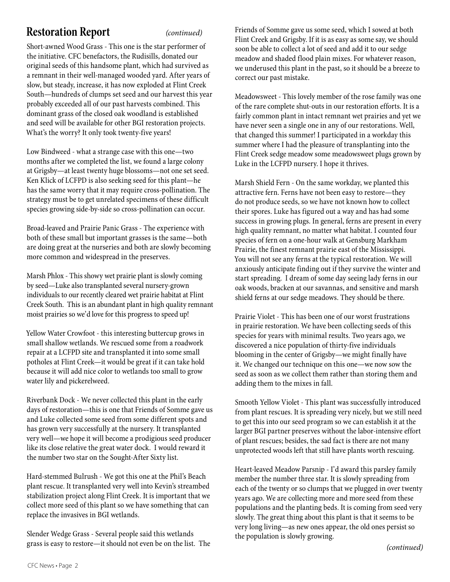## **Restoration Report**

Short-awned Wood Grass - This one is the star performer of the initiative. CFC benefactors, the Rudisills, donated our original seeds of this handsome plant, which had survived as a remnant in their well-managed wooded yard. After years of slow, but steady, increase, it has now exploded at Flint Creek South—hundreds of clumps set seed and our harvest this year probably exceeded all of our past harvests combined. This dominant grass of the closed oak woodland is established and seed will be available for other BGI restoration projects. What's the worry? It only took twenty-five years!

Low Bindweed - what a strange case with this one—two months after we completed the list, we found a large colony at Grigsby—at least twenty huge blossoms—not one set seed. Ken Klick of LCFPD is also seeking seed for this plant—he has the same worry that it may require cross-pollination. The strategy must be to get unrelated specimens of these difficult species growing side-by-side so cross-pollination can occur.

Broad-leaved and Prairie Panic Grass - The experience with both of these small but important grasses is the same—both are doing great at the nurseries and both are slowly becoming more common and widespread in the preserves.

Marsh Phlox - This showy wet prairie plant is slowly coming by seed—Luke also transplanted several nursery-grown individuals to our recently cleared wet prairie habitat at Flint Creek South. This is an abundant plant in high quality remnant moist prairies so we'd love for this progress to speed up!

Yellow Water Crowfoot - this interesting buttercup grows in small shallow wetlands. We rescued some from a roadwork repair at a LCFPD site and transplanted it into some small potholes at Flint Creek—it would be great if it can take hold because it will add nice color to wetlands too small to grow water lily and pickerelweed.

Riverbank Dock - We never collected this plant in the early days of restoration—this is one that Friends of Somme gave us and Luke collected some seed from some different spots and has grown very successfully at the nursery. It transplanted very well—we hope it will become a prodigious seed producer like its close relative the great water dock. I would reward it the number two star on the Sought-After Sixty list.

Hard-stemmed Bulrush - We got this one at the Phil's Beach plant rescue. It transplanted very well into Kevin's streambed stabilization project along Flint Creek. It is important that we collect more seed of this plant so we have something that can replace the invasives in BGI wetlands.

Slender Wedge Grass - Several people said this wetlands grass is easy to restore—it should not even be on the list. The

*(continued)* Friends of Somme gave us some seed, which I sowed at both Flint Creek and Grigsby. If it is as easy as some say, we should soon be able to collect a lot of seed and add it to our sedge meadow and shaded flood plain mixes. For whatever reason, we underused this plant in the past, so it should be a breeze to correct our past mistake.

> Meadowsweet - This lovely member of the rose family was one of the rare complete shut-outs in our restoration efforts. It is a fairly common plant in intact remnant wet prairies and yet we have never seen a single one in any of our restorations. Well, that changed this summer! I participated in a workday this summer where I had the pleasure of transplanting into the Flint Creek sedge meadow some meadowsweet plugs grown by Luke in the LCFPD nursery. I hope it thrives.

> Marsh Shield Fern - On the same workday, we planted this attractive fern. Ferns have not been easy to restore—they do not produce seeds, so we have not known how to collect their spores. Luke has figured out a way and has had some success in growing plugs. In general, ferns are present in every high quality remnant, no matter what habitat. I counted four species of fern on a one-hour walk at Gensburg Markham Prairie, the finest remnant prairie east of the Mississippi. You will not see any ferns at the typical restoration. We will anxiously anticipate finding out if they survive the winter and start spreading. I dream of some day seeing lady ferns in our oak woods, bracken at our savannas, and sensitive and marsh shield ferns at our sedge meadows. They should be there.

Prairie Violet - This has been one of our worst frustrations in prairie restoration. We have been collecting seeds of this species for years with minimal results. Two years ago, we discovered a nice population of thirty-five individuals blooming in the center of Grigsby—we might finally have it. We changed our technique on this one—we now sow the seed as soon as we collect them rather than storing them and adding them to the mixes in fall.

Smooth Yellow Violet - This plant was successfully introduced from plant rescues. It is spreading very nicely, but we still need to get this into our seed program so we can establish it at the larger BGI partner preserves without the labor-intensive effort of plant rescues; besides, the sad fact is there are not many unprotected woods left that still have plants worth rescuing.

Heart-leaved Meadow Parsnip - I'd award this parsley family member the number three star. It is slowly spreading from each of the twenty or so clumps that we plugged in over twenty years ago. We are collecting more and more seed from these populations and the planting beds. It is coming from seed very slowly. The great thing about this plant is that it seems to be very long living—as new ones appear, the old ones persist so the population is slowly growing.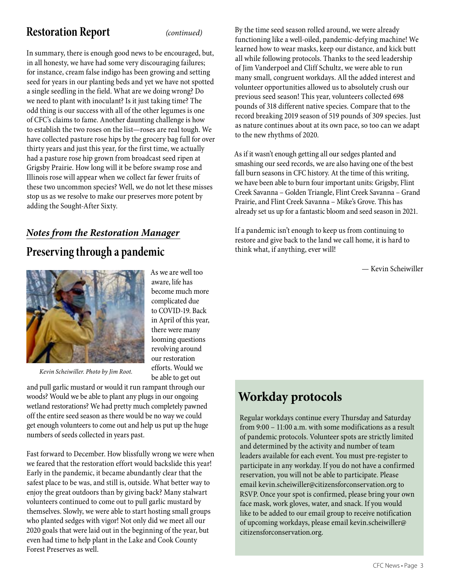## **Restoration Report**

*(continued)*

In summary, there is enough good news to be encouraged, but, in all honesty, we have had some very discouraging failures; for instance, cream false indigo has been growing and setting seed for years in our planting beds and yet we have not spotted a single seedling in the field. What are we doing wrong? Do we need to plant with inoculant? Is it just taking time? The odd thing is our success with all of the other legumes is one of CFC's claims to fame. Another daunting challenge is how to establish the two roses on the list—roses are real tough. We have collected pasture rose hips by the grocery bag full for over thirty years and just this year, for the first time, we actually had a pasture rose hip grown from broadcast seed ripen at Grigsby Prairie. How long will it be before swamp rose and Illinois rose will appear when we collect far fewer fruits of these two uncommon species? Well, we do not let these misses stop us as we resolve to make our preserves more potent by adding the Sought-After Sixty.

## *Notes from the Restoration Manager*

## **Preserving through a pandemic**



As we are well too aware, life has become much more complicated due to COVID-19. Back in April of this year, there were many looming questions revolving around our restoration efforts. Would we be able to get out

*Kevin Scheiwiller. Photo by Jim Root.*

and pull garlic mustard or would it run rampant through our woods? Would we be able to plant any plugs in our ongoing wetland restorations? We had pretty much completely pawned off the entire seed season as there would be no way we could get enough volunteers to come out and help us put up the huge numbers of seeds collected in years past.

Fast forward to December. How blissfully wrong we were when we feared that the restoration effort would backslide this year! Early in the pandemic, it became abundantly clear that the safest place to be was, and still is, outside. What better way to enjoy the great outdoors than by giving back? Many stalwart volunteers continued to come out to pull garlic mustard by themselves. Slowly, we were able to start hosting small groups who planted sedges with vigor! Not only did we meet all our 2020 goals that were laid out in the beginning of the year, but even had time to help plant in the Lake and Cook County Forest Preserves as well.

By the time seed season rolled around, we were already functioning like a well-oiled, pandemic-defying machine! We learned how to wear masks, keep our distance, and kick butt all while following protocols. Thanks to the seed leadership of Jim Vanderpoel and Cliff Schultz, we were able to run many small, congruent workdays. All the added interest and volunteer opportunities allowed us to absolutely crush our previous seed season! This year, volunteers collected 698 pounds of 318 different native species. Compare that to the record breaking 2019 season of 519 pounds of 309 species. Just as nature continues about at its own pace, so too can we adapt to the new rhythms of 2020.

As if it wasn't enough getting all our sedges planted and smashing our seed records, we are also having one of the best fall burn seasons in CFC history. At the time of this writing, we have been able to burn four important units: Grigsby, Flint Creek Savanna – Golden Triangle, Flint Creek Savanna – Grand Prairie, and Flint Creek Savanna – Mike's Grove. This has already set us up for a fantastic bloom and seed season in 2021.

If a pandemic isn't enough to keep us from continuing to restore and give back to the land we call home, it is hard to think what, if anything, ever will!

— Kevin Scheiwiller

# **Workday protocols**

Regular workdays continue every Thursday and Saturday from 9:00 – 11:00 a.m. with some modifications as a result of pandemic protocols. Volunteer spots are strictly limited and determined by the activity and number of team leaders available for each event. You must pre-register to participate in any workday. If you do not have a confirmed reservation, you will not be able to participate. Please email kevin.scheiwiller@citizensforconservation.org to RSVP. Once your spot is confirmed, please bring your own face mask, work gloves, water, and snack. If you would like to be added to our email group to receive notification of upcoming workdays, please email kevin.scheiwiller@ citizensforconservation.org.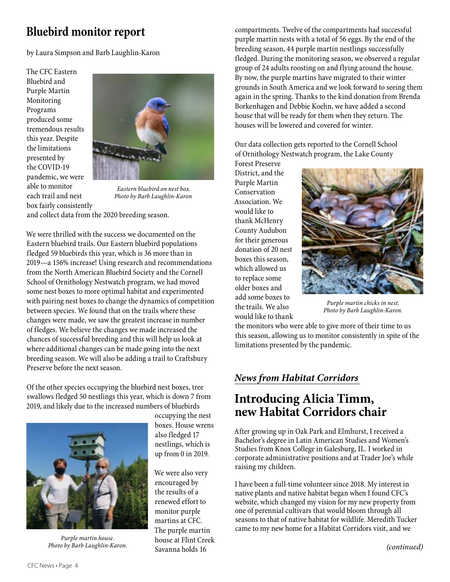## **Bluebird monitor report**

by Laura Simpson and Barb Laughlin-Karon

The CFC Eastern Bluebird and Purple Martin Monitoring Programs produced some tremendous results this year. Despite the limitations presented by the COVID-19 pandemic, we were able to monitor each trail and nest box fairly consistently



*Eastern bluebird on nest box. Photo by Barb Laughlin-Karon*

and collect data from the 2020 breeding season.

We were thrilled with the success we documented on the Eastern bluebird trails. Our Eastern bluebird populations fledged 59 bluebirds this year, which is 36 more than in 2019—a 156% increase! Using research and recommendations from the North American Bluebird Society and the Cornell School of Ornithology Nestwatch program, we had moved some nest boxes to more optimal habitat and experimented with pairing nest boxes to change the dynamics of competition between species. We found that on the trails where these changes were made, we saw the greatest increase in number of fledges. We believe the changes we made increased the chances of successful breeding and this will help us look at where additional changes can be made going into the next breeding season. We will also be adding a trail to Craftsbury Preserve before the next season.

Of the other species occupying the bluebird nest boxes, tree swallows fledged 50 nestlings this year, which is down 7 from 2019, and likely due to the increased numbers of bluebirds



occupying the nest boxes. House wrens also fledged 17 nestlings, which is up from 0 in 2019.

We were also very encouraged by the results of a renewed effort to monitor purple martins at CFC. The purple martin house at Flint Creek Savanna holds 16

compartments. Twelve of the compartments had successful purple martin nests with a total of 56 eggs. By the end of the breeding season, 44 purple martin nestlings successfully fledged. During the monitoring season, we observed a regular group of 24 adults roosting on and flying around the house. By now, the purple martins have migrated to their winter grounds in South America and we look forward to seeing them again in the spring. Thanks to the kind donation from Brenda Borkenhagen and Debbie Koehn, we have added a second house that will be ready for them when they return. The houses will be lowered and covered for winter.

Our data collection gets reported to the Cornell School of Ornithology Nestwatch program, the Lake County Forest Preserve

District, and the Purple Martin Conservation Association. We would like to thank McHenry County Audubon for their generous donation of 20 nest boxes this season, which allowed us to replace some older boxes and add some boxes to the trails. We also would like to thank



*Purple martin chicks in nest. Photo by Barb Laughlin-Karon.*

the monitors who were able to give more of their time to us this season, allowing us to monitor consistently in spite of the limitations presented by the pandemic.

## *News from Habitat Corridors*

## **Introducing Alicia Timm, new Habitat Corridors chair**

After growing up in Oak Park and Elmhurst, I received a Bachelor's degree in Latin American Studies and Women's Studies from Knox College in Galesburg, IL. I worked in corporate administrative positions and at Trader Joe's while raising my children.

I have been a full-time volunteer since 2018. My interest in native plants and native habitat began when I found CFC's website, which changed my vision for my new property from one of perennial cultivars that would bloom through all seasons to that of native habitat for wildlife. Meredith Tucker came to my new home for a Habitat Corridors visit, and we

*Purple martin house. Photo by Barb Laughlin-Karon.*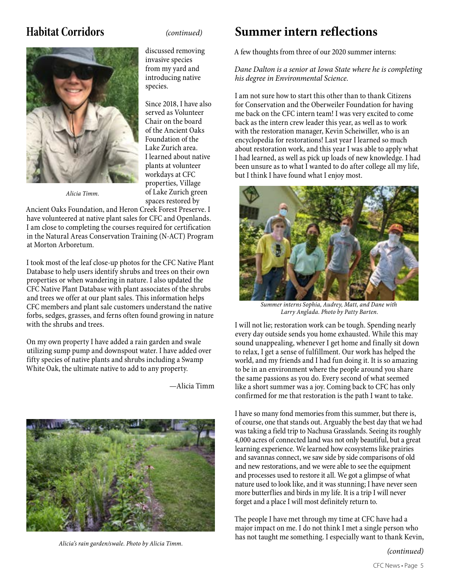*Alicia Timm.*

discussed removing invasive species from my yard and introducing native species.

Since 2018, I have also served as Volunteer Chair on the board of the Ancient Oaks Foundation of the Lake Zurich area. I learned about native plants at volunteer workdays at CFC properties, Village of Lake Zurich green spaces restored by

Ancient Oaks Foundation, and Heron Creek Forest Preserve. I have volunteered at native plant sales for CFC and Openlands. I am close to completing the courses required for certification in the Natural Areas Conservation Training (N-ACT) Program at Morton Arboretum.

I took most of the leaf close-up photos for the CFC Native Plant Database to help users identify shrubs and trees on their own properties or when wandering in nature. I also updated the CFC Native Plant Database with plant associates of the shrubs and trees we offer at our plant sales. This information helps CFC members and plant sale customers understand the native forbs, sedges, grasses, and ferns often found growing in nature with the shrubs and trees.

On my own property I have added a rain garden and swale utilizing sump pump and downspout water. I have added over fifty species of native plants and shrubs including a Swamp White Oak, the ultimate native to add to any property.

—Alicia Timm



## **Habitat Corridors** *(continued)* **Summer intern reflections**

A few thoughts from three of our 2020 summer interns:

#### *Dane Dalton is a senior at Iowa State where he is completing his degree in Environmental Science.*

I am not sure how to start this other than to thank Citizens for Conservation and the Oberweiler Foundation for having me back on the CFC intern team! I was very excited to come back as the intern crew leader this year, as well as to work with the restoration manager, Kevin Scheiwiller, who is an encyclopedia for restorations! Last year I learned so much about restoration work, and this year I was able to apply what I had learned, as well as pick up loads of new knowledge. I had been unsure as to what I wanted to do after college all my life, but I think I have found what I enjoy most.



*Summer interns Sophia, Audrey, Matt, and Dane with Larry Anglada. Photo by Patty Barten.*

I will not lie; restoration work can be tough. Spending nearly every day outside sends you home exhausted. While this may sound unappealing, whenever I get home and finally sit down to relax, I get a sense of fulfillment. Our work has helped the world, and my friends and I had fun doing it. It is so amazing to be in an environment where the people around you share the same passions as you do. Every second of what seemed like a short summer was a joy. Coming back to CFC has only confirmed for me that restoration is the path I want to take.

I have so many fond memories from this summer, but there is, of course, one that stands out. Arguably the best day that we had was taking a field trip to Nachusa Grasslands. Seeing its roughly 4,000 acres of connected land was not only beautiful, but a great learning experience. We learned how ecosystems like prairies and savannas connect, we saw side by side comparisons of old and new restorations, and we were able to see the equipment and processes used to restore it all. We got a glimpse of what nature used to look like, and it was stunning; I have never seen more butterflies and birds in my life. It is a trip I will never forget and a place I will most definitely return to.

The people I have met through my time at CFC have had a major impact on me. I do not think I met a single person who has not taught me something. I especially want to thank Kevin, *Alicia's rain garden/swale. Photo by Alicia Timm.*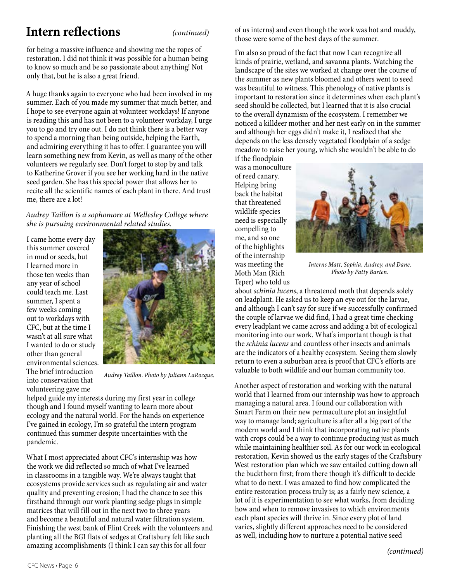## **Intern reflections** *(continued)*

for being a massive influence and showing me the ropes of restoration. I did not think it was possible for a human being to know so much and be so passionate about anything! Not only that, but he is also a great friend.

A huge thanks again to everyone who had been involved in my summer. Each of you made my summer that much better, and I hope to see everyone again at volunteer workdays! If anyone is reading this and has not been to a volunteer workday, I urge you to go and try one out. I do not think there is a better way to spend a morning than being outside, helping the Earth, and admiring everything it has to offer. I guarantee you will learn something new from Kevin, as well as many of the other volunteers we regularly see. Don't forget to stop by and talk to Katherine Grover if you see her working hard in the native seed garden. She has this special power that allows her to recite all the scientific names of each plant in there. And trust me, there are a lot!

#### *Audrey Taillon is a sophomore at Wellesley College where she is pursuing environmental related studies.*

I came home every day this summer covered in mud or seeds, but I learned more in those ten weeks than any year of school could teach me. Last summer, I spent a few weeks coming out to workdays with CFC, but at the time I wasn't at all sure what I wanted to do or study other than general environmental sciences. The brief introduction into conservation that volunteering gave me



*Audrey Taillon. Photo by Juliann LaRocque.*

helped guide my interests during my first year in college though and I found myself wanting to learn more about ecology and the natural world. For the hands on experience I've gained in ecology, I'm so grateful the intern program continued this summer despite uncertainties with the pandemic.

What I most appreciated about CFC's internship was how the work we did reflected so much of what I've learned in classrooms in a tangible way. We're always taught that ecosystems provide services such as regulating air and water quality and preventing erosion; I had the chance to see this firsthand through our work planting sedge plugs in simple matrices that will fill out in the next two to three years and become a beautiful and natural water filtration system. Finishing the west bank of Flint Creek with the volunteers and planting all the BGI flats of sedges at Craftsbury felt like such amazing accomplishments (I think I can say this for all four

of us interns) and even though the work was hot and muddy, those were some of the best days of the summer.

I'm also so proud of the fact that now I can recognize all kinds of prairie, wetland, and savanna plants. Watching the landscape of the sites we worked at change over the course of the summer as new plants bloomed and others went to seed was beautiful to witness. This phenology of native plants is important to restoration since it determines when each plant's seed should be collected, but I learned that it is also crucial to the overall dynamism of the ecosystem. I remember we noticed a killdeer mother and her nest early on in the summer and although her eggs didn't make it, I realized that she depends on the less densely vegetated floodplain of a sedge meadow to raise her young, which she wouldn't be able to do

if the floodplain was a monoculture of reed canary. Helping bring back the habitat that threatened wildlife species need is especially compelling to me, and so one of the highlights of the internship was meeting the Moth Man (Rich Teper) who told us



*Interns Matt, Sophia, Audrey, and Dane. Photo by Patty Barten.*

about *schinia lucens*, a threatened moth that depends solely on leadplant. He asked us to keep an eye out for the larvae, and although I can't say for sure if we successfully confirmed the couple of larvae we did find, I had a great time checking every leadplant we came across and adding a bit of ecological monitoring into our work. What's important though is that the *schinia lucens* and countless other insects and animals are the indicators of a healthy ecosystem. Seeing them slowly return to even a suburban area is proof that CFC's efforts are valuable to both wildlife and our human community too.

Another aspect of restoration and working with the natural world that I learned from our internship was how to approach managing a natural area. I found our collaboration with Smart Farm on their new permaculture plot an insightful way to manage land; agriculture is after all a big part of the modern world and I think that incorporating native plants with crops could be a way to continue producing just as much while maintaining healthier soil. As for our work in ecological restoration, Kevin showed us the early stages of the Craftsbury West restoration plan which we saw entailed cutting down all the buckthorn first; from there though it's difficult to decide what to do next. I was amazed to find how complicated the entire restoration process truly is; as a fairly new science, a lot of it is experimentation to see what works, from deciding how and when to remove invasives to which environments each plant species will thrive in. Since every plot of land varies, slightly different approaches need to be considered as well, including how to nurture a potential native seed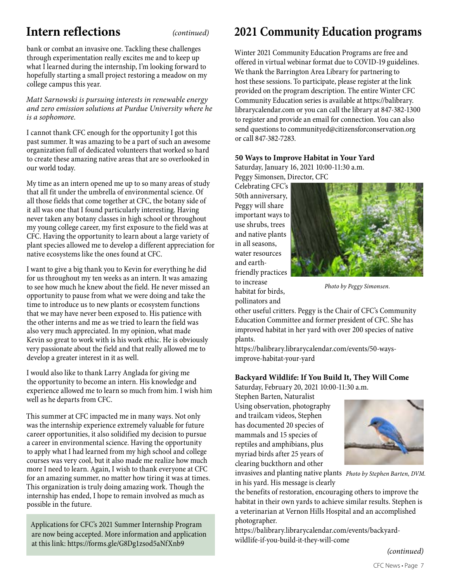## **Intern reflections** *(continued)*

bank or combat an invasive one. Tackling these challenges through experimentation really excites me and to keep up what I learned during the internship, I'm looking forward to hopefully starting a small project restoring a meadow on my college campus this year.

*Matt Sarnowski is pursuing interests in renewable energy and zero emission solutions at Purdue University where he is a sophomore.*

I cannot thank CFC enough for the opportunity I got this past summer. It was amazing to be a part of such an awesome organization full of dedicated volunteers that worked so hard to create these amazing native areas that are so overlooked in our world today.

My time as an intern opened me up to so many areas of study that all fit under the umbrella of environmental science. Of all those fields that come together at CFC, the botany side of it all was one that I found particularly interesting. Having never taken any botany classes in high school or throughout my young college career, my first exposure to the field was at CFC. Having the opportunity to learn about a large variety of plant species allowed me to develop a different appreciation for native ecosystems like the ones found at CFC.

I want to give a big thank you to Kevin for everything he did for us throughout my ten weeks as an intern. It was amazing to see how much he knew about the field. He never missed an opportunity to pause from what we were doing and take the time to introduce us to new plants or ecosystem functions that we may have never been exposed to. His patience with the other interns and me as we tried to learn the field was also very much appreciated. In my opinion, what made Kevin so great to work with is his work ethic. He is obviously very passionate about the field and that really allowed me to develop a greater interest in it as well.

I would also like to thank Larry Anglada for giving me the opportunity to become an intern. His knowledge and experience allowed me to learn so much from him. I wish him well as he departs from CFC.

This summer at CFC impacted me in many ways. Not only was the internship experience extremely valuable for future career opportunities, it also solidified my decision to pursue a career in environmental science. Having the opportunity to apply what I had learned from my high school and college courses was very cool, but it also made me realize how much more I need to learn. Again, I wish to thank everyone at CFC for an amazing summer, no matter how tiring it was at times. This organization is truly doing amazing work. Though the internship has ended, I hope to remain involved as much as possible in the future.

Applications for CFC's 2021 Summer Internship Program are now being accepted. More information and application at this link: https://forms.gle/G8Dg1zsod5aNfXnb9

## **2021 Community Education programs**

Winter 2021 Community Education Programs are free and offered in virtual webinar format due to COVID-19 guidelines. We thank the Barrington Area Library for partnering to host these sessions. To participate, please register at the link provided on the program description. The entire Winter CFC Community Education series is available at https://balibrary. Community Education series is available at https://banbrary.<br>librarycalendar.com or you can call the library at 847-382-1300 to register and provide an email for connection. You can also send questions to communityed@citizensforconservation.org<br> **programs** present and **provide** with the **programs** programs presented with the **programs** or call 847-382-7283.

### **50 Ways to Improve Habitat in Your Yard**

Saturday, January 16, 2021 10:00-11:30 a.m. Peggy Simonsen, Director, CFC

Celebrating CFC's 50th anniversary, Peggy will share important ways to use shrubs, trees and native plants in all seasons, water resources and earthfriendly practices to increase habitat for birds, Photo by Peggy Simons<br>Peggy Simonsen<br>Simons

pollinators and



*Photo by Peggy Simonsen.*<br>for birds,

other useful critters. Peggy is the Chair of CFC's Community Education Committee and former president of CFC. She has Education Committee and former president of CFC. She has<br>improved habitat in her yard with over 200 species of native plants. **Will Come Barrington Area Library** 

https://balibrary.librarycalendar.com/events/50-waysimprove-habitat-your-yard

## Backyard Wildlife: If You Build It, They Will Come

Saturday, February 20, 2021 10:00-11:30 a.m.

Stephen Barten, Naturalist Using observation, photography **plants in the set of the set of the set of the set of the set of the set of the set of the set of the set of the set of the set of the set of the set of the set of the set of the set of the and trailcam videos, Stephen Barten, Naturalist of Paris 20, 2021** thas documented 20 species of the habitat in the habitat in the habitat in the habitat in the habitat in the habitat in the habitat in the habitat in the habitat in the habitat in the habitat in the habitat in the habitat mammals and 15 species of mammals and amplitude 30 species of mammals and amplitude 30 species of myriad birds after a more control of the species of many  $\mathbb{R}$ reptiles and amphibians, plus **plants in his years of clearing native plants in his years of clearly the state of clearly the state of clearly the state is the state of clearly the state of clearly the state of clearly the** myriad birds after 25 years of clearing buckthorn and other **Backyard Wildlife: If You Build It, They**  W<sub>U</sub>



invasives and planting native plants Photo by Stephen Barten, DVM. in his yard. His message is clearly

If the benefits of restoration, encouraging others to improve the habitat in their own yards to achieve similar results. Stephen is a veterinarian at Vernon Hills Hospital and an accomplished photographer. an<br>mes<br>ov<br>t Ac ominut Teoutio. Olephen R  $\mathbf{r}$  is and to reduce the volume the volume the volume the volume the volume the volume the volume the volume the volume the volume that  $\mathbf{r}$ 

https://balibrary.librarycalendar.com/events/backyardwildlife-if-you-build-it-they-will-come  $\sum_{i=1}^{n}$ 

*(continued)*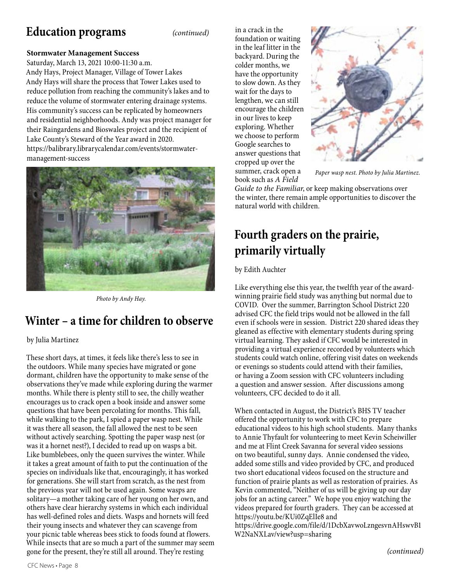## **Education programs Saturday, February 20, 2021 | 10:00 - 11:30**

*(continued)*

## **Stormwater Management Success**

Saturday, March 13, 2021 10:00-11:30 a.m. Andy Hays, Project Manager, Village of Tower Lakes Andy Hays will share the process that Tower Lakes used to reduce pollution from reaching the community's lakes and to reduce the volume of stormwater entering drainage systems. His community's success can be replicated by homeowners and residential neighborhoods. Andy was project manager for their Raingardens and Bioswales project and the recipient of Lake County's Steward of the Year award in 2020. https://balibrary.librarycalendar.com/events/stormwatermanagement-success



*Photo by Andy Hay.*

## **Winter – a time for children to observe** even if schools were in session. District 220 shared ide

#### by Julia Martinez

These short days, at times, it feels like there's less to see in the outdoors. While many species have migrated or gone dormant, children have the opportunity to make sense of the observations they've made while exploring during the warmer months. While there is plenty still to see, the chilly weather encourages us to crack open a book inside and answer some questions that have been percolating for months. This fall, while walking to the park, I spied a paper wasp nest. While it was there all season, the fall allowed the nest to be seen without actively searching. Spotting the paper wasp nest (or was it a hornet nest?), I decided to read up on wasps a bit. Like bumblebees, only the queen survives the winter. While it takes a great amount of faith to put the continuation of the species on individuals like that, encouragingly, it has worked for generations. She will start from scratch, as the nest from the previous year will not be used again. Some wasps are solitary—a mother taking care of her young on her own, and others have clear hierarchy systems in which each individual has well-defined roles and diets. Wasps and hornets will feed their young insects and whatever they can scavenge from your picnic table whereas bees stick to foods found at flowers. While insects that are so much a part of the summer may seem gone for the present, they're still all around. They're resting

**Stropped up over the set of the Summer, crack open a** paper wasp nest. Photo by Julia 1 **Saturday March 13, 2021 | 10:00 - 11:30** book such as *A Field*  in a crack in the foundation or waiting in the leaf litter in the backyard. During the colder months, we have the opportunity to slow down. As they wait for the days to lengthen, we can still encourage the children in our lives to keep exploring. Whether we choose to perform Google searches to answer questions that cropped up over the



*Paper wasp nest. Photo by Julia Martinez.*

Guide to the Familiar, or keep making observations over the winter, there remain ample opportunities to discover the natural world with children.

#### of stormwater entering drainage systems. Fourth graders on the prairie, primarily virtually  $\mathbf{A}$

the recipient of Lake County's Steward

## by Edith Auchter

Programs are no covid by the summer, Barrington School District 220<br>Programs advised CEC the field trips would not be allowed in the fall online and as effective with elementary students during spring<br>hy Julia Martinez Like everything else this year, the twelfth year of the awardwinning prairie field study was anything but normal due to advised CFC the field trips would not be allowed in the fall even if schools were in session. District 220 shared ideas they virtual learning. They asked if CFC would be interested in providing a virtual experience recorded by volunteers which students could watch online, offering visit dates on weekends or evenings so students could attend with their families, or having a Zoom session with CFC volunteers including a question and answer session. After discussions among volunteers, CFC decided to do it all.

> When contacted in August, the District's BHS TV teacher offered the opportunity to work with CFC to prepare educational videos to his high school students. Many thanks to Annie Thyfault for volunteering to meet Kevin Scheiwiller and me at Flint Creek Savanna for several video sessions on two beautiful, sunny days. Annie condensed the video, added some stills and video provided by CFC, and produced two short educational videos focused on the structure and function of prairie plants as well as restoration of prairies. As Kevin commented, "Neither of us will be giving up our day jobs for an acting career." We hope you enjoy watching the videos prepared for fourth graders. They can be accessed at https://youtu.be/KUi0ZqElIe8 and

https://drive.google.com/file/d/1DcbXavwoLzngesvnAHswvB1 W2NaNXLav/view?usp=sharing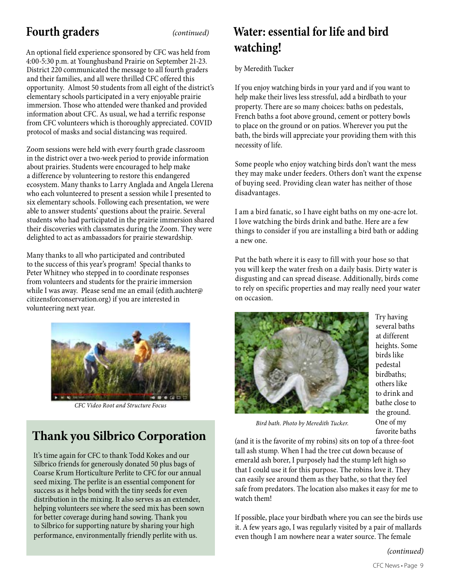## **Fourth graders** *(continued)*

An optional field experience sponsored by CFC was held from 4:00-5:30 p.m. at Younghusband Prairie on September 21-23. District 220 communicated the message to all fourth graders and their families, and all were thrilled CFC offered this opportunity. Almost 50 students from all eight of the district's elementary schools participated in a very enjoyable prairie immersion. Those who attended were thanked and provided information about CFC. As usual, we had a terrific response from CFC volunteers which is thoroughly appreciated. COVID protocol of masks and social distancing was required.

Zoom sessions were held with every fourth grade classroom in the district over a two-week period to provide information about prairies. Students were encouraged to help make a difference by volunteering to restore this endangered ecosystem. Many thanks to Larry Anglada and Angela Llerena who each volunteered to present a session while I presented to six elementary schools. Following each presentation, we were able to answer students' questions about the prairie. Several students who had participated in the prairie immersion shared their discoveries with classmates during the Zoom. They were delighted to act as ambassadors for prairie stewardship.

Many thanks to all who participated and contributed to the success of this year's program! Special thanks to Peter Whitney who stepped in to coordinate responses from volunteers and students for the prairie immersion while I was away. Please send me an email (edith.auchter@ citizensforconservation.org) if you are interested in volunteering next year.



*CFC Video Root and Structure Focus*

# **Thank you Silbrico Corporation**

It's time again for CFC to thank Todd Kokes and our Silbrico friends for generously donated 50 plus bags of Coarse Krum Horticulture Perlite to CFC for our annual seed mixing. The perlite is an essential component for success as it helps bond with the tiny seeds for even distribution in the mixing. It also serves as an extender, helping volunteers see where the seed mix has been sown for better coverage during hand sowing. Thank you to Silbrico for supporting nature by sharing your high performance, environmentally friendly perlite with us.

## **Water: essential for life and bird watching!**

by Meredith Tucker

If you enjoy watching birds in your yard and if you want to help make their lives less stressful, add a birdbath to your property. There are so many choices: baths on pedestals, French baths a foot above ground, cement or pottery bowls to place on the ground or on patios. Wherever you put the bath, the birds will appreciate your providing them with this necessity of life.

Some people who enjoy watching birds don't want the mess they may make under feeders. Others don't want the expense of buying seed. Providing clean water has neither of those disadvantages.

I am a bird fanatic, so I have eight baths on my one-acre lot. I love watching the birds drink and bathe. Here are a few things to consider if you are installing a bird bath or adding a new one.

Put the bath where it is easy to fill with your hose so that you will keep the water fresh on a daily basis. Dirty water is disgusting and can spread disease. Additionally, birds come to rely on specific properties and may really need your water on occasion.



Try having several baths at different heights. Some birds like pedestal birdbaths; others like to drink and bathe close to the ground. One of my favorite baths

*Bird bath. Photo by Meredith Tucker.*

(and it is the favorite of my robins) sits on top of a three-foot tall ash stump. When I had the tree cut down because of emerald ash borer, I purposely had the stump left high so that I could use it for this purpose. The robins love it. They can easily see around them as they bathe, so that they feel safe from predators. The location also makes it easy for me to watch them!

If possible, place your birdbath where you can see the birds use it. A few years ago, I was regularly visited by a pair of mallards even though I am nowhere near a water source. The female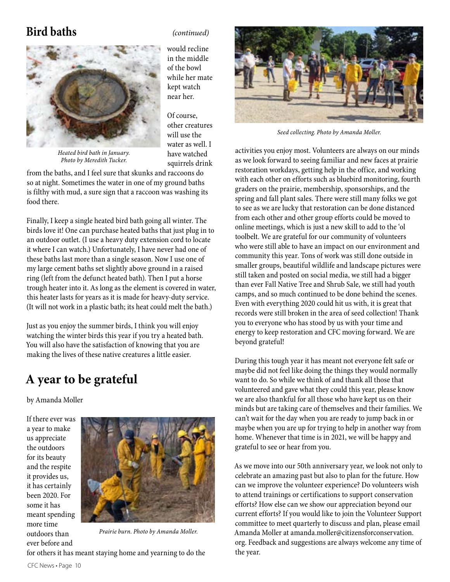## **Bird baths** *(continued)*



would recline in the middle of the bowl while her mate kept watch near her.

Of course, other creatures will use the water as well. I have watched squirrels drink

*Heated bird bath in January. Photo by Meredith Tucker.*

from the baths, and I feel sure that skunks and raccoons do so at night. Sometimes the water in one of my ground baths is filthy with mud, a sure sign that a raccoon was washing its food there.

Finally, I keep a single heated bird bath going all winter. The birds love it! One can purchase heated baths that just plug in to an outdoor outlet. (I use a heavy duty extension cord to locate it where I can watch.) Unfortunately, I have never had one of these baths last more than a single season. Now I use one of my large cement baths set slightly above ground in a raised ring (left from the defunct heated bath). Then I put a horse trough heater into it. As long as the element is covered in water, this heater lasts for years as it is made for heavy-duty service. (It will not work in a plastic bath; its heat could melt the bath.)

Just as you enjoy the summer birds, I think you will enjoy watching the winter birds this year if you try a heated bath. You will also have the satisfaction of knowing that you are making the lives of these native creatures a little easier.

## **A year to be grateful**

by Amanda Moller

If there ever was a year to make us appreciate the outdoors for its beauty and the respite it provides us, it has certainly been 2020. For some it has meant spending more time outdoors than ever before and



*Prairie burn. Photo by Amanda Moller.*

for others it has meant staying home and yearning to do the



*Seed collecting. Photo by Amanda Moller.*

activities you enjoy most. Volunteers are always on our minds as we look forward to seeing familiar and new faces at prairie restoration workdays, getting help in the office, and working with each other on efforts such as bluebird monitoring, fourth graders on the prairie, membership, sponsorships, and the spring and fall plant sales. There were still many folks we got to see as we are lucky that restoration can be done distanced from each other and other group efforts could be moved to online meetings, which is just a new skill to add to the 'ol toolbelt. We are grateful for our community of volunteers who were still able to have an impact on our environment and community this year. Tons of work was still done outside in smaller groups, beautiful wildlife and landscape pictures were still taken and posted on social media, we still had a bigger than ever Fall Native Tree and Shrub Sale, we still had youth camps, and so much continued to be done behind the scenes. Even with everything 2020 could hit us with, it is great that records were still broken in the area of seed collection! Thank you to everyone who has stood by us with your time and energy to keep restoration and CFC moving forward. We are beyond grateful!

During this tough year it has meant not everyone felt safe or maybe did not feel like doing the things they would normally want to do. So while we think of and thank all those that volunteered and gave what they could this year, please know we are also thankful for all those who have kept us on their minds but are taking care of themselves and their families. We can't wait for the day when you are ready to jump back in or maybe when you are up for trying to help in another way from home. Whenever that time is in 2021, we will be happy and grateful to see or hear from you.

As we move into our 50th anniversary year, we look not only to celebrate an amazing past but also to plan for the future. How can we improve the volunteer experience? Do volunteers wish to attend trainings or certifications to support conservation efforts? How else can we show our appreciation beyond our current efforts? If you would like to join the Volunteer Support committee to meet quarterly to discuss and plan, please email Amanda Moller at amanda.moller@citizensforconservation. org. Feedback and suggestions are always welcome any time of the year.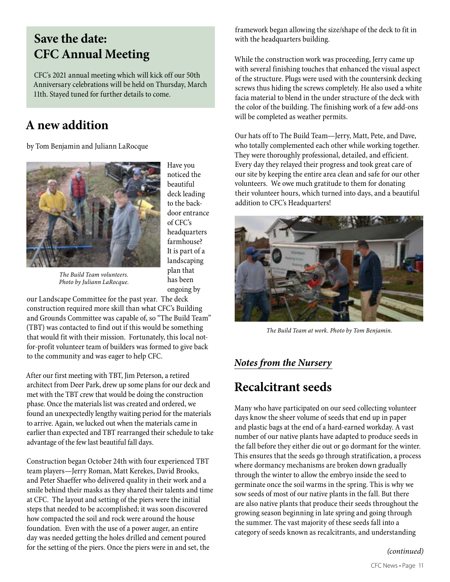## **Save the date: CFC Annual Meeting**

CFC's 2021 annual meeting which will kick off our 50th Anniversary celebrations will be held on Thursday, March 11th. Stayed tuned for further details to come.

## **A new addition**

by Tom Benjamin and Juliann LaRocque



Have you noticed the beautiful deck leading to the backdoor entrance of CFC's headquarters farmhouse? It is part of a landscaping plan that has been ongoing by

*The Build Team volunteers. Photo by Juliann LaRocque.*

our Landscape Committee for the past year. The deck construction required more skill than what CFC's Building and Grounds Committee was capable of, so "The Build Team" (TBT) was contacted to find out if this would be something that would fit with their mission. Fortunately, this local notfor-profit volunteer team of builders was formed to give back to the community and was eager to help CFC.

After our first meeting with TBT, Jim Peterson, a retired architect from Deer Park, drew up some plans for our deck and met with the TBT crew that would be doing the construction phase. Once the materials list was created and ordered, we found an unexpectedly lengthy waiting period for the materials to arrive. Again, we lucked out when the materials came in earlier than expected and TBT rearranged their schedule to take advantage of the few last beautiful fall days.

Construction began October 24th with four experienced TBT team players—Jerry Roman, Matt Kerekes, David Brooks, and Peter Shaeffer who delivered quality in their work and a smile behind their masks as they shared their talents and time at CFC. The layout and setting of the piers were the initial steps that needed to be accomplished; it was soon discovered how compacted the soil and rock were around the house foundation. Even with the use of a power auger, an entire day was needed getting the holes drilled and cement poured for the setting of the piers. Once the piers were in and set, the

framework began allowing the size/shape of the deck to fit in with the headquarters building.

While the construction work was proceeding, Jerry came up with several finishing touches that enhanced the visual aspect of the structure. Plugs were used with the countersink decking screws thus hiding the screws completely. He also used a white facia material to blend in the under structure of the deck with the color of the building. The finishing work of a few add-ons will be completed as weather permits.

Our hats off to The Build Team—Jerry, Matt, Pete, and Dave, who totally complemented each other while working together. They were thoroughly professional, detailed, and efficient. Every day they relayed their progress and took great care of our site by keeping the entire area clean and safe for our other volunteers. We owe much gratitude to them for donating their volunteer hours, which turned into days, and a beautiful addition to CFC's Headquarters!



*The Build Team at work. Photo by Tom Benjamin.*

## *Notes from the Nursery*

# **Recalcitrant seeds**

Many who have participated on our seed collecting volunteer days know the sheer volume of seeds that end up in paper and plastic bags at the end of a hard-earned workday. A vast number of our native plants have adapted to produce seeds in the fall before they either die out or go dormant for the winter. This ensures that the seeds go through stratification, a process where dormancy mechanisms are broken down gradually through the winter to allow the embryo inside the seed to germinate once the soil warms in the spring. This is why we sow seeds of most of our native plants in the fall. But there are also native plants that produce their seeds throughout the growing season beginning in late spring and going through the summer. The vast majority of these seeds fall into a category of seeds known as recalcitrants, and understanding

*(continued)*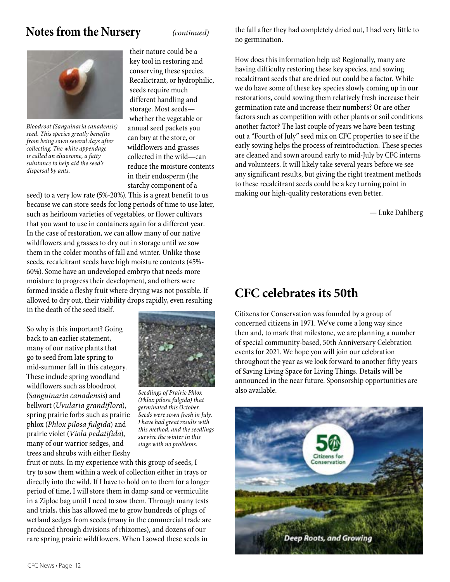## **Notes from the Nursery**



*Bloodroot (Sanguinaria canadensis) seed. This species greatly benefits from being sown several days after collecting. The white appendage is called an eliaosome, a fatty substance to help aid the seed's dispersal by ants.*

their nature could be a key tool in restoring and conserving these species. Recalictrant, or hydrophilic, seeds require much different handling and storage. Most seeds whether the vegetable or annual seed packets you can buy at the store, or wildflowers and grasses collected in the wild—can reduce the moisture contents in their endosperm (the starchy component of a

seed) to a very low rate (5%-20%). This is a great benefit to us because we can store seeds for long periods of time to use later, such as heirloom varieties of vegetables, or flower cultivars that you want to use in containers again for a different year. In the case of restoration, we can allow many of our native wildflowers and grasses to dry out in storage until we sow them in the colder months of fall and winter. Unlike those seeds, recalcitrant seeds have high moisture contents (45%- 60%). Some have an undeveloped embryo that needs more moisture to progress their development, and others were formed inside a fleshy fruit where drying was not possible. If allowed to dry out, their viability drops rapidly, even resulting in the death of the seed itself.

So why is this important? Going back to an earlier statement, many of our native plants that go to seed from late spring to mid-summer fall in this category. These include spring woodland wildflowers such as bloodroot (*Sanguinaria canadensis*) and bellwort (*Uvularia grandiflora*), spring prairie forbs such as prairie phlox (*Phlox pilosa fulgida*) and prairie violet (*Viola pedatifida*), many of our warrior sedges, and trees and shrubs with either fleshy



*Seedlings of Prairie Phlox (Phlox pilosa fulgida) that germinated this October. Seeds were sown fresh in July. I have had great results with this method, and the seedlings survive the winter in this stage with no problems.*

fruit or nuts. In my experience with this group of seeds, I try to sow them within a week of collection either in trays or directly into the wild. If I have to hold on to them for a longer period of time, I will store them in damp sand or vermiculite in a Ziploc bag until I need to sow them. Through many tests and trials, this has allowed me to grow hundreds of plugs of wetland sedges from seeds (many in the commercial trade are produced through divisions of rhizomes), and dozens of our rare spring prairie wildflowers. When I sowed these seeds in

*(continued)* the fall after they had completely dried out, I had very little to no germination.

> How does this information help us? Regionally, many are having difficulty restoring these key species, and sowing recalcitrant seeds that are dried out could be a factor. While we do have some of these key species slowly coming up in our restorations, could sowing them relatively fresh increase their germination rate and increase their numbers? Or are other factors such as competition with other plants or soil conditions another factor? The last couple of years we have been testing out a "Fourth of July" seed mix on CFC properties to see if the early sowing helps the process of reintroduction. These species are cleaned and sown around early to mid-July by CFC interns and volunteers. It will likely take several years before we see any significant results, but giving the right treatment methods to these recalcitrant seeds could be a key turning point in making our high-quality restorations even better.

> > — Luke Dahlberg

## **CFC celebrates its 50th**

Citizens for Conservation was founded by a group of concerned citizens in 1971. We've come a long way since then and, to mark that milestone, we are planning a number of special community-based, 50th Anniversary Celebration events for 2021. We hope you will join our celebration throughout the year as we look forward to another fifty years of Saving Living Space for Living Things. Details will be announced in the near future. Sponsorship opportunities are also available.

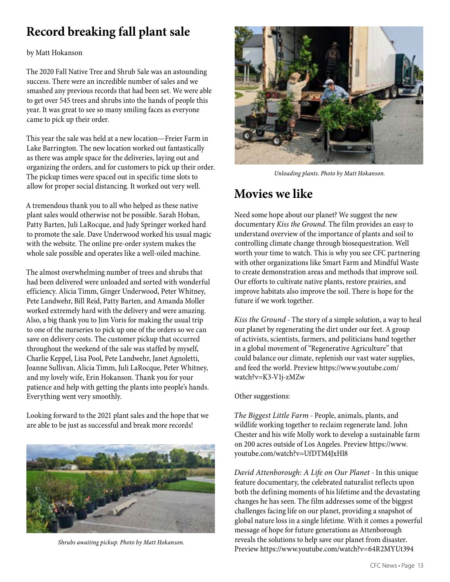# **Record breaking fall plant sale**

#### by Matt Hokanson

The 2020 Fall Native Tree and Shrub Sale was an astounding success. There were an incredible number of sales and we smashed any previous records that had been set. We were able to get over 545 trees and shrubs into the hands of people this year. It was great to see so many smiling faces as everyone came to pick up their order.

This year the sale was held at a new location—Freier Farm in Lake Barrington. The new location worked out fantastically as there was ample space for the deliveries, laying out and organizing the orders, and for customers to pick up their order. The pickup times were spaced out in specific time slots to allow for proper social distancing. It worked out very well.

A tremendous thank you to all who helped as these native plant sales would otherwise not be possible. Sarah Hoban, Patty Barten, Juli LaRocque, and Judy Springer worked hard to promote the sale. Dave Underwood worked his usual magic with the website. The online pre-order system makes the whole sale possible and operates like a well-oiled machine.

The almost overwhelming number of trees and shrubs that had been delivered were unloaded and sorted with wonderful efficiency. Alicia Timm, Ginger Underwood, Peter Whitney, Pete Landwehr, Bill Reid, Patty Barten, and Amanda Moller worked extremely hard with the delivery and were amazing. Also, a big thank you to Jim Voris for making the usual trip to one of the nurseries to pick up one of the orders so we can save on delivery costs. The customer pickup that occurred throughout the weekend of the sale was staffed by myself, Charlie Keppel, Lisa Pool, Pete Landwehr, Janet Agnoletti, Joanne Sullivan, Alicia Timm, Juli LaRocque, Peter Whitney, and my lovely wife, Erin Hokanson. Thank you for your patience and help with getting the plants into people's hands. Everything went very smoothly.

Looking forward to the 2021 plant sales and the hope that we are able to be just as successful and break more records!



*Shrubs awaiting pickup. Photo by Matt Hokanson.*



*Unloading plants. Photo by Matt Hokanson.*

## **Movies we like**

Need some hope about our planet? We suggest the new documentary *Kiss the Ground*. The film provides an easy to understand overview of the importance of plants and soil to controlling climate change through biosequestration. Well worth your time to watch. This is why you see CFC partnering with other organizations like Smart Farm and Mindful Waste to create demonstration areas and methods that improve soil. Our efforts to cultivate native plants, restore prairies, and improve habitats also improve the soil. There is hope for the future if we work together.

*Kiss the Ground* - The story of a simple solution, a way to heal our planet by regenerating the dirt under our feet. A group of activists, scientists, farmers, and politicians band together in a global movement of "Regenerative Agriculture" that could balance our climate, replenish our vast water supplies, and feed the world. Preview https://www.youtube.com/ watch?v=K3-V1j-zMZw

### Other suggestions:

*The Biggest Little Farm* - People, animals, plants, and wildlife working together to reclaim regenerate land. John Chester and his wife Molly work to develop a sustainable farm on 200 acres outside of Los Angeles. Preview https://www. youtube.com/watch?v=UfDTM4JxHl8

*David Attenborough: A Life on Our Planet* - In this unique feature documentary, the celebrated naturalist reflects upon both the defining moments of his lifetime and the devastating changes he has seen. The film addresses some of the biggest challenges facing life on our planet, providing a snapshot of global nature loss in a single lifetime. With it comes a powerful message of hope for future generations as Attenborough reveals the solutions to help save our planet from disaster. Preview https://www.youtube.com/watch?v=64R2MYUt394